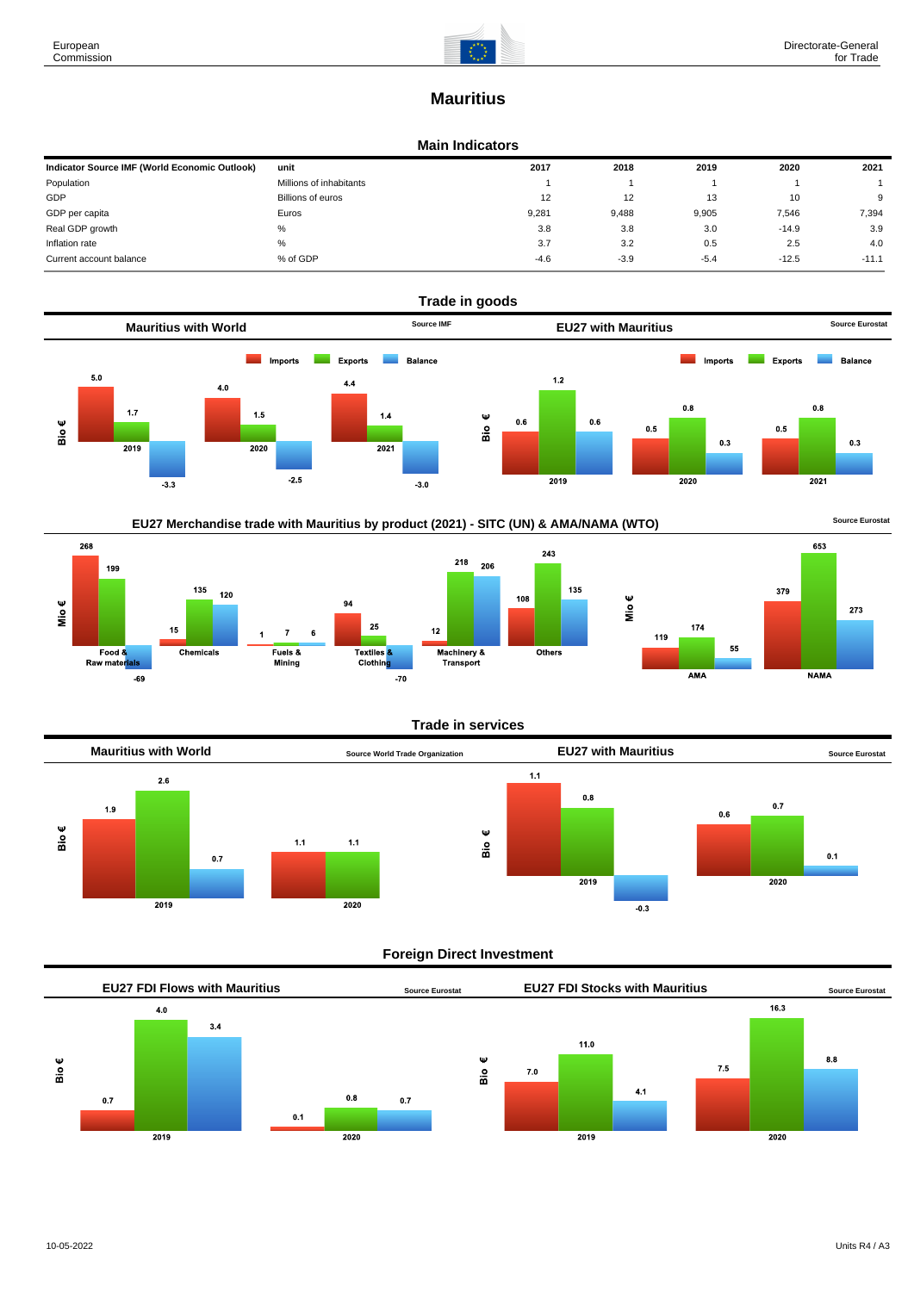-69

273

**NAMA** 

 $AMA$ 

# **Mauritius**

## **Main Indicators**

| Indicator Source IMF (World Economic Outlook) | unit                    | 2017   | 2018   | 2019   | 2020    | 2021    |
|-----------------------------------------------|-------------------------|--------|--------|--------|---------|---------|
| Population                                    | Millions of inhabitants |        |        |        |         |         |
| GDP                                           | Billions of euros       | 12     | 12     | 13     | 10      | 9       |
| GDP per capita                                | Euros                   | 9.281  | 9.488  | 9,905  | 7,546   | 7,394   |
| Real GDP growth                               | %                       | 3.8    | 3.8    | 3.0    | $-14.9$ | 3.9     |
| Inflation rate                                | %                       | 3.7    | 3.2    | 0.5    | 2.5     | 4.0     |
| Current account balance                       | % of GDP                | $-4.6$ | $-3.9$ | $-5.4$ | $-12.5$ | $-11.1$ |





 $-70$ 

## **Trade in services**



## **Foreign Direct Investment**